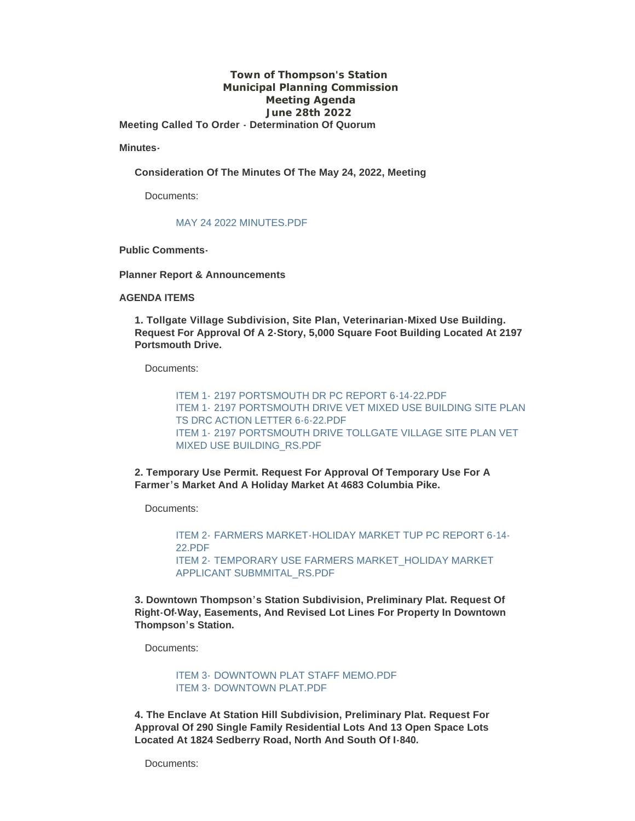#### **Town of Thompson's Station Municipal Planning Commission Meeting Agenda June 28th 2022 Meeting Called To Order - Determination Of Quorum**

**Minutes-**

**Consideration Of The Minutes Of The May 24, 2022, Meeting**

Documents:

#### MAY 24 2022 MINUTES PDF

**Public Comments-**

**Planner Report & Announcements**

#### **AGENDA ITEMS**

**1. Tollgate Village Subdivision, Site Plan, Veterinarian-Mixed Use Building. Request For Approval Of A 2-Story, 5,000 Square Foot Building Located At 2197 Portsmouth Drive.**

Documents:

ITEM 1- [2197 PORTSMOUTH DR PC REPORT 6-14-22.PDF](https://www.thompsons-station.com/AgendaCenter/ViewFile/Item/3873?fileID=16447) ITEM 1- [2197 PORTSMOUTH DRIVE VET MIXED USE BUILDING SITE PLAN](https://www.thompsons-station.com/AgendaCenter/ViewFile/Item/3873?fileID=16446)  TS DRC ACTION LETTER 6-6-22.PDF ITEM 1- [2197 PORTSMOUTH DRIVE TOLLGATE VILLAGE SITE PLAN VET](https://www.thompsons-station.com/AgendaCenter/ViewFile/Item/3873?fileID=16448)  MIXED USE BUILDING\_RS.PDF

**2. Temporary Use Permit. Request For Approval Of Temporary Use For A Farmer's Market And A Holiday Market At 4683 Columbia Pike.**

Documents:

ITEM 2- [FARMERS MARKET-HOLIDAY MARKET TUP PC REPORT 6-14-](https://www.thompsons-station.com/AgendaCenter/ViewFile/Item/3874?fileID=16449) 22.PDF ITEM 2- [TEMPORARY USE FARMERS MARKET\\_HOLIDAY MARKET](https://www.thompsons-station.com/AgendaCenter/ViewFile/Item/3874?fileID=16450)  APPLICANT SUBMMITAL\_RS.PDF

**3. Downtown Thompson's Station Subdivision, Preliminary Plat. Request Of Right-Of-Way, Easements, And Revised Lot Lines For Property In Downtown Thompson's Station.**

Documents:

ITEM 3- [DOWNTOWN PLAT STAFF MEMO.PDF](https://www.thompsons-station.com/AgendaCenter/ViewFile/Item/3875?fileID=16451) ITEM 3- DOWNTOWN PLAT PDF

**4. The Enclave At Station Hill Subdivision, Preliminary Plat. Request For Approval Of 290 Single Family Residential Lots And 13 Open Space Lots Located At 1824 Sedberry Road, North And South Of I-840.**

Documents: